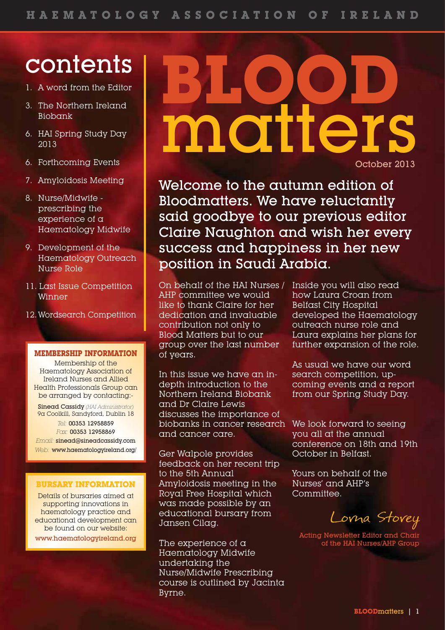# contents

- 1. A word from the Editor
- 3. The Northern Ireland Biobank
- 6. HAI Spring Study Day 2013
- 6. Forthcoming Events
- 7. Amyloidosis Meeting
- 8. Nurse/Midwife prescribing the experience of a Haematology Midwife
- 9. Development of the Haematology Outreach Nurse Role
- 11. Last Issue Competition Winner
- 12.Wordsearch Competition

### **MEMBERSHIP INFORMATION**

Membership of the Haematology Association of Ireland Nurses and Allied Health Professionals Group can be arranged by contacting:-

Sinead Cassidy *(HAI Administrator)* 9a Coolkill, Sandyford, Dublin 18 *Tel:* 00353 12958859 *Fax:* 00353 12958869

*Email:* sinead@sineadcassidy.com *Web:* www.haematologyireland.org/

### **BURSARY INFORMATION**

Details of bursaries aimed at supporting innovations in haematology practice and educational development can be found on our website:

www.haematologyireland.org

# **BLOOD** matters October 2013

Welcome to the autumn edition of Bloodmatters. We have reluctantly said goodbye to our previous editor Claire Naughton and wish her every success and happiness in her new position in Saudi Arabia.

On behalf of the HAI Nurses / AHP committee we would like to thank Claire for her dedication and invaluable contribution not only to Blood Matters but to our group over the last number of years.

In this issue we have an indepth introduction to the Northern Ireland Biobank and Dr Claire Lewis discusses the importance of biobanks in cancer research and cancer care.

Ger Walpole provides feedback on her recent trip to the 5th Annual Amyloidosis meeting in the Royal Free Hospital which was made possible by an educational bursary from Jansen Cilag.

The experience of a Haematology Midwife undertaking the Nurse/Midwife Prescribing course is outlined by Jacinta Byrne.

Inside you will also read how Laura Croan from Belfast City Hospital developed the Haematology outreach nurse role and Laura explains her plans for further expansion of the role.

As usual we have our word search competition, upcoming events and a report from our Spring Study Day.

We look forward to seeing you all at the annual conference on 18th and 19th October in Belfast.

Yours on behalf of the Nurses' and AHP's Committee.

Lorna Storey

Acting Newsletter Editor and Chair of the HAI Nurses/AHP Group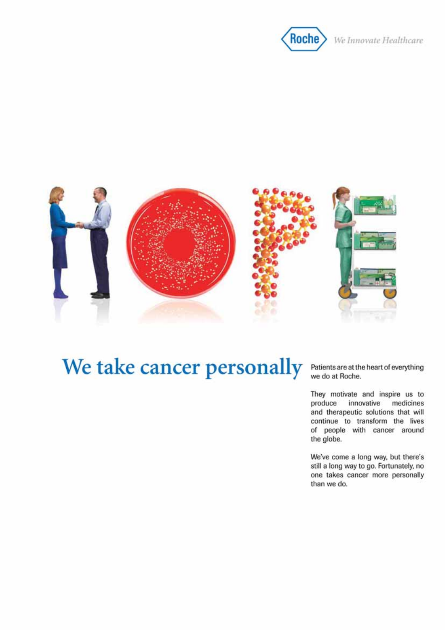



## We take cancer personally

Patients are at the heart of everything<br>we do at Roche.

They motivate and inspire us to produce innovative medicines and therapeutic solutions that will continue to transform the lives of people with cancer around the globe.

We've come a long way, but there's still a long way to go. Fortunately, no one takes cancer more personally than we do.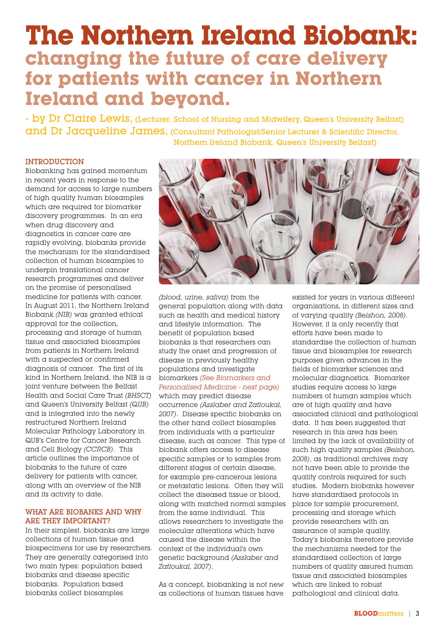### **The Northern Ireland Biobank: changing the future of care delivery for patients with cancer in Northern Ireland and beyond.**

- by Dr Claire Lewis, (Lecturer, School of Nursing and Midwifery, Queen's University Belfast) and Dr Jacqueline James, (Consultant Pathologist/Senior Lecturer & Scientific Director, Northern Ireland Biobank, Queen's University Belfast)

### **INTRODUCTION**

Biobanking has gained momentum in recent years in response to the demand for access to large numbers of high quality human biosamples which are required for biomarker discovery programmes. In an era when drug discovery and diagnostics in cancer care are rapidly evolving, biobanks provide the mechanism for the standardised collection of human biosamples to underpin translational cancer research programmes and deliver on the promise of personalised medicine for patients with cancer. In August 2011, the Northern Ireland Biobank *(NIB)* was granted ethical approval for the collection, processing and storage of human tissue and associated biosamples from patients in Northern Ireland with a suspected or confirmed diagnosis of cancer. The first of its kind in Northern Ireland, the NIB is  $\alpha$ joint venture between the Belfast Health and Social Care Trust *(BHSCT)* and Queen's University Belfast *(QUB)* and is integrated into the newly restructured Northern Ireland Molecular Pathology Laboratory in QUB's Centre for Cancer Research and Cell Biology *(CCRCB)*. This article outlines the importance of biobanks to the future of care delivery for patients with cancer, along with an overview of the NIB and its activity to date.

### WHAT ARE BIOBANKS AND WHY ARE THEY IMPORTANT?

In their simplest, biobanks are large collections of human tissue and biospecimens for use by researchers. They are generally categorised into two main types: population based biobanks and disease specific biobanks. Population based biobanks collect biosamples



*(blood, urine, saliva)* from the general population along with data such as health and medical history and lifestyle information. The benefit of population based biobanks is that researchers can study the onset and progression of disease in previously healthy populations and investigate biomarkers *(See Biomarkers and Personalised Medicine - next page)*

which may predict disease occurrence *(Asslaber and Zatloukal, 2007)*. Disease specific biobanks on the other hand collect biosamples from individuals with a particular disease, such as cancer. This type of biobank offers access to disease specific samples or to samples from different stages of certain disease, for example pre-cancerous lesions or metastatic lesions. Often they will collect the diseased tissue or blood, along with matched normal samples from the same individual. This allows researchers to investigate the molecular alterations which have caused the disease within the context of the individual's own genetic background *(Asslaber and Zatloukal, 2007)*.

As a concept, biobanking is not new as collections of human tissues have

existed for years in various different organisations, in different sizes and of varying quality *(Beishon, 2008)*. However, it is only recently that efforts have been made to standardise the collection of human tissue and biosamples for research purposes given advances in the fields of biomarker sciences and molecular diagnostics. Biomarker studies require access to large numbers of human samples which are of high quality and have associated clinical and pathological data. It has been suggested that research in this area has been limited by the lack of availability of such high quality samples *(Beishon, 2008)*, as traditional archives may not have been able to provide the quality controls required for such studies. Modern biobanks however have standardised protocols in place for sample procurement, processing and storage which provide researchers with an assurance of sample quality. Today's biobanks therefore provide the mechanisms needed for the standardised collection of large numbers of quality assured human tissue and associated biosamples which are linked to robust pathological and clinical data.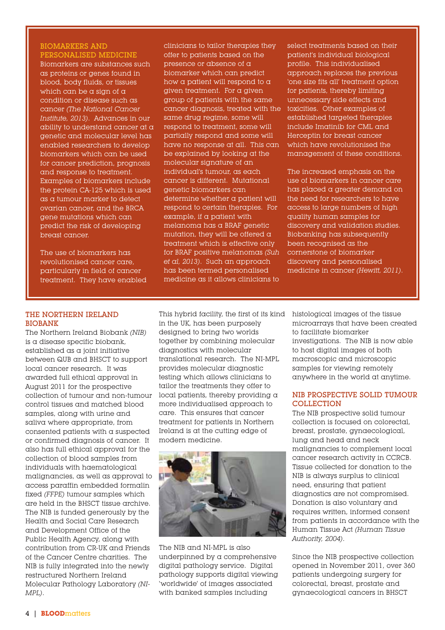### BIOMARKERS AND PERSONALISED MEDICINE

Biomarkers are substances such as proteins or genes found in blood, body fluids, or tissues which can be a sign of  $\alpha$ condition or disease such as cancer *(The National Cancer Institute, 2013)*. Advances in our ability to understand cancer at a genetic and molecular level has enabled researchers to develop biomarkers which can be used for cancer prediction, prognosis and response to treatment. Examples of biomarkers include the protein CA-125 which is used as a tumour marker to detect ovarian cancer, and the BRCA gene mutations which can predict the risk of developing breast cancer.

The use of biomarkers has revolutionised cancer care, particularly in field of cancer treatment. They have enabled

clinicians to tailor therapies they offer to patients based on the presence or absence of a biomarker which can predict how a patient will respond to a given treatment. For a given group of patients with the same cancer diagnosis, treated with the same drug regime, some will respond to treatment, some will partially respond and some will have no response at all. This can be explained by looking at the molecular signature of an individual's tumour, as each cancer is different. Mutational genetic biomarkers can determine whether a patient will respond to certain therapies. For example, if a patient with melanoma has a BRAF genetic mutation, they will be offered a treatment which is effective only for BRAF positive melanomas *(Suh et al, 2013)*. Such an approach has been termed personalised medicine as it allows clinicians to

select treatments based on their patient's individual biological profile. This individualised approach replaces the previous 'one size fits all' treatment option for patients, thereby limiting unnecessary side effects and toxicities. Other examples of established targeted therapies include Imatinib for CML and Herceptin for breast cancer which have revolutionised the management of these conditions.

The increased emphasis on the use of biomarkers in cancer care has placed a greater demand on the need for researchers to have access to large numbers of high quality human samples for discovery and validation studies. Biobanking has subsequently been recognised as the cornerstone of biomarker discovery and personalised medicine in cancer *(Hewitt, 2011)*.

### THE NORTHERN IRELAND BIOBANK

The Northern Ireland Biobank *(NIB)* is a disease specific biobank,  $estabilished$  as a joint initiative between QUB and BHSCT to support local cancer research. It was awarded full ethical approval in August 2011 for the prospective collection of tumour and non-tumour control tissues and matched blood samples, along with urine and saliva where appropriate, from consented patients with a suspected or confirmed diagnosis of cancer. It also has full ethical approval for the collection of blood samples from individuals with haematological malignancies, as well as approval to access paraffin embedded formalin fixed *(FFPE)* tumour samples which are held in the BHSCT tissue archive. The NIB is funded generously by the Health and Social Care Research and Development Office of the Public Health Agency, along with contribution from CR-UK and Friends of the Cancer Centre charities. The NIB is fully integrated into the newly restructured Northern Ireland Molecular Pathology Laboratory *(NI-MPL)*.

This hybrid facility, the first of its kind histological images of the tissue in the UK, has been purposely designed to bring two worlds together by combining molecular diagnostics with molecular translational research. The NI-MPL provides molecular diagnostic testing which allows clinicians to tailor the treatments they offer to local patients, thereby providing a more individualised approach to care. This ensures that cancer treatment for patients in Northern Ireland is at the cutting edge of modern medicine.



The NIB and NI-MPL is also underpinned by a comprehensive digital pathology service. Digital pathology supports digital viewing 'worldwide' of images associated with banked samples including

microarrays that have been created to facilitate biomarker investigations. The NIB is now able to host digital images of both macroscopic and microscopic samples for viewing remotely anywhere in the world at anytime.

### NIB PROSPECTIVE SOLID TUMOUR COLLECTION

The NIB prospective solid tumour collection is focused on colorectal, breast, prostate, gynaecological, lung and head and neck malignancies to complement local cancer research activity in CCRCB. Tissue collected for donation to the NIB is always surplus to clinical need, ensuring that patient diagnostics are not compromised. Donation is also voluntary and requires written, informed consent from patients in accordance with the Human Tissue Act *(Human Tissue Authority, 2004)*.

Since the NIB prospective collection opened in November 2011, over 360 patients undergoing surgery for colorectal, breast, prostate and gynaecological cancers in BHSCT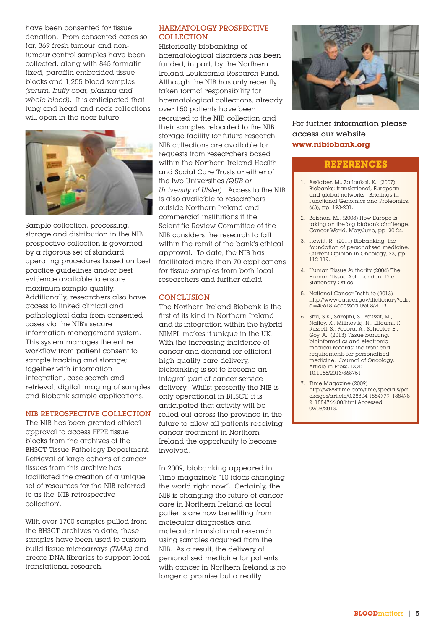have been consented for tissue donation. From consented cases so far, 369 fresh tumour and nontumour control samples have been collected, along with 845 formalin fixed, paraffin embedded tissue blocks and 1,255 blood samples *(serum, buffy coat, plasma and whole blood)*. It is anticipated that lung and head and neck collections will open in the near future.



Sample collection, processing, storage and distribution in the NIB prospective collection is governed by a rigorous set of standard operating procedures based on best practice guidelines and/or best evidence available to ensure maximum sample quality. Additionally, researchers also have access to linked clinical and pathological data from consented cases via the NIB's secure information management system. This system manages the entire workflow from patient consent to sample tracking and storage; together with information integration, case search and retrieval, digital imaging of samples and Biobank sample applications.

### NIB RETROSPECTIVE COLLECTION

The NIB has been granted ethical approval to access FFPE tissue blocks from the archives of the BHSCT Tissue Pathology Department. Retrieval of large cohorts of cancer tissues from this archive has facilitated the creation of a unique set of resources for the NIB referred to as the 'NIB retrospective collection'.

With over 1700 samples pulled from the BHSCT archives to date, these samples have been used to custom build tissue microarrays *(TMAs)* and create DNA libraries to support local translational research.

### HAEMATOLOGY PROSPECTIVE COLLECTION

Historically biobanking of haematological disorders has been funded, in part, by the Northern Ireland Leukaemia Research Fund. Although the NIB has only recently taken formal responsibility for haematological collections, already over 150 patients have been recruited to the NIB collection and their samples relocated to the NIB storage facility for future research. NIB collections are available for requests from researchers based within the Northern Ireland Health and Social Care Trusts or either of the two Universities *(QUB or University of Ulster)*. Access to the NIB is also available to researchers outside Northern Ireland and commercial institutions if the Scientific Review Committee of the NIB considers the research to fall within the remit of the bank's ethical approval. To date, the NIB has facilitated more than 70 applications for tissue samples from both local researchers and further afield.

### **CONCLUSION**

The Northern Ireland Biobank is the first of its kind in Northern Ireland and its integration within the hybrid NIMPL makes it unique in the UK. With the increasing incidence of cancer and demand for efficient high quality care delivery, biobanking is set to become an integral part of cancer service delivery. Whilst presently the NIB is only operational in BHSCT, it is anticipated that activity will be rolled out across the province in the future to allow all patients receiving cancer treatment in Northern Ireland the opportunity to become involved.

In 2009, biobanking appeared in Time magazine's "10 ideas changing the world right now". Certainly, the NIB is changing the future of cancer care in Northern Ireland as local patients are now benefiting from molecular diagnostics and molecular translational research using samples acquired from the NIB. As a result, the delivery of personalised medicine for patients with cancer in Northern Ireland is no longer a promise but a reality.



### For further information please access our website **www.nibiobank.org**

### **REFERENCES**

- 1. Asslaber, M., Zatloukal, K. (2007) Biobanks: translational, European and global networks. Briefings in Functional Genomics and Proteomics, 6(3), pp. 193-201.
- 2. Beishon, M., (2008) How Europe is taking on the big biobank challenge. Cancer World, May/June, pp. 20-24.
- 3. Hewitt, R. (2011) Biobanking: the foundation of personalised medicine. Current Opinion in Oncology, 23, pp. 112-119.
- 4. Human Tissue Authority (2004) The Human Tissue Act. London: The Stationary Office.
- 5. National Cancer Institute (2013) http://www.cancer.gov/dictionary?cdri d=45618 Accessed 09/08/2013.
- 6. Shu, S.K., Sarojini, S., Youssif, M., Nalley, K., Milinovikj, N., Elloumi, F., Russell, S., Pecora, A., Schecter, E., Goy, A. (2013) Tissue banking, bioinformatics and electronic medical records: the front end requirements for personalised medicine. Journal of Oncology, Article in Press. DOI: 10.1155/2013/368751
- 7. Time Magazine (2009) http://www.time.com/time/specials/pa ckages/article/0,28804,1884779\_188478 2\_1884766,00.html Accessed 09/08/2013.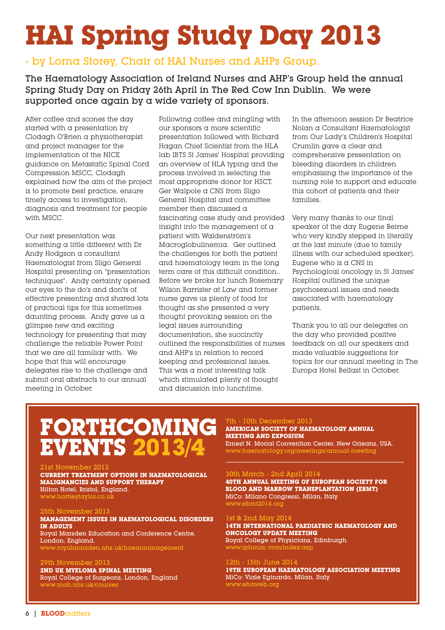# **HAI Spring Study Day 2013**

### - by Lorna Storey, Chair of HAI Nurses and AHPs Group.

### The Haematology Association of Ireland Nurses and AHP's Group held the annual Spring Study Day on Friday 26th April in The Red Cow Inn Dublin. We were supported once again by a wide variety of sponsors.

After coffee and scones the day started with a presentation by Clodagh O'Brien a physiotherapist and project manager for the implementation of the NICE guidance on Metastatic Spinal Cord Compression MSCC, Clodagh explained how the aim of the project is to promote best practice, ensure timely access to investigation, diagnosis and treatment for people with MSCC.

Our next presentation was something a little different with Dr Andy Hodgson a consultant Haematologist from Sligo General Hospital presenting on "presentation techniques". Andy certainty opened our eyes to the do's and don'ts of effective presenting and shared lots of practical tips for this sometimes daunting process. Andy gave us a glimpse new and exciting technology for presenting that may challenge the reliable Power Point that we are all familiar with. We hope that this will encourage delegates rise to the challenge and submit oral abstracts to our annual meeting in October.

Following coffee and mingling with our sponsors a more scientific presentation followed with Richard Hagan Chief Scientist from the HLA lab IBTS St James' Hospital providing an overview of HLA typing and the process involved in selecting the most appropriate donor for HSCT. Ger Walpole a CNS from Sligo General Hospital and committee member then discussed a fascinating case study and provided insight into the management of a patient with Waldenström's Macroglobulinemia. Ger outlined the challenges for both the patient and haematology team in the long term care of this difficult condition.. Before we broke for lunch Rosemary Wilson Barrister at Law and former nurse gave us plenty of food for thought as she presented a very thought provoking session on the legal issues surrounding documentation, she succinctly outlined the responsibilities of nurses and AHP's in relation to record keeping and professional issues. This was a most interesting talk which stimulated plenty of thought and discussion into lunchtime.

In the afternoon session Dr Beatrice Nolan a Consultant Haematologist from Our Lady's Children's Hospital Crumlin gave a clear and comprehensive presentation on bleeding disorders in children emphasising the importance of the nursing role to support and educate this cohort of patients and their families.

Very many thanks to our final speaker of the day Eugene Beirne who very kindly stepped in literally at the last minute (due to family illness with our scheduled speaker). Eugene who is  $\alpha$  CNS in Psychological oncology in St James' Hospital outlined the unique psychosexual issues and needs associated with haematology patients.

Thank you to all our delegates on the day who provided positive feedback on all our speakers and made valuable suggestions for topics for our annual meeting in The Europa Hotel Belfast in October.

## **FORTHCOMING EVENTS 2013/4**

### 21st November 2013

#### **CURRENT TREATMENT OPTIONS IN HAEMATOLOGICAL MALIGNANCIES AND SUPPORT THERAPY** Hilton Hotel, Bristol, England. www.hartleytaylor.co.uk

### 25th November 2013

**MANAGEMENT ISSUES IN HAEMATOLOGICAL DISORDERS IN ADULTS** Royal Marsden Education and Conference Centre, London, England. www.royalmarsden.nhs.uk/haemmanagement

### th November 2013

**2ND UK MYELOMA SPINAL MEETING** Royal College of Surgeons, London, England www.rnoh.nhs.uk/courses

### 7th - 10th December 2013

### **AMERICAN SOCIETY OF HAEMATOLOGY ANNUAL MEETING AND EXPOSIUM**

Ernest N. Morial Convention Center, New Orleans, USA. www.haematology.org/meetings/annual-meeting

**\_\_\_\_\_\_\_\_\_\_\_\_\_\_\_\_\_\_\_\_\_\_\_\_\_\_\_\_\_\_\_\_\_\_\_\_\_\_\_\_\_\_\_\_\_\_\_\_\_\_\_\_\_\_\_\_\_\_\_\_\_\_\_\_\_\_\_\_\_\_\_\_\_\_\_\_\_\_**

### $30th$  March -  $2nd$  April  $2014$

**40TH ANNUAL MEETING OF EUROPEAN SOCIETY FOR BLOOD AND MARROW TRANSPLANTATION (EBMT)** MiCo: Milano Congressi, Milan, Italy. www.ebmt2014.org

### 1st & 2nd May 2014

**14TH INTERNATIONAL PAEDIATRIC HAEMATOLOGY AND ONCOLOGY UPDATE MEETING** Royal College of Physicians, Edinburgh.

www.iphoum.com/index.asp

### 12th - 15th June 2014

**19TH EUROPEAN HAEMATOLOGY ASSOCIATION MEETING** MiCo: Viale Eginardo, Milan, Italy. www.ehaweb.org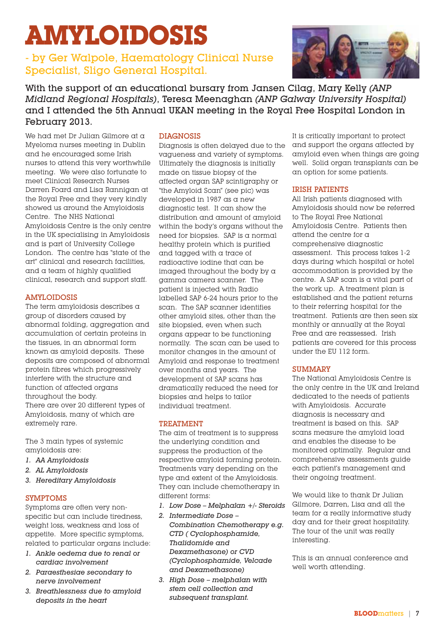# **AMYLOIDOSIS**

### - by Ger Walpole, Haematology Clinical Nurse Specialist, Sligo General Hospital.



With the support of an educational bursary from Jansen Cilag, Mary Kelly *(ANP Midland Regional Hospitals)*, Teresa Meenaghan *(ANP Galway University Hospital)* and I attended the 5th Annual UKAN meeting in the Royal Free Hospital London in February 2013.

We had met Dr Julian Gilmore at a Myeloma nurses meeting in Dublin and he encouraged some Irish nurses to attend this very worthwhile meeting. We were also fortunate to meet Clinical Research Nurses Darren Foard and Lisa Rannigan at the Royal Free and they very kindly showed us around the Amyloidosis Centre. The NHS National Amyloidosis Centre is the only centre in the UK specialising in Amyloidosis and is part of University College London. The centre has "state of the art" clinical and research facilities, and a team of highly qualified clinical, research and support staff.

### AMYLOIDOSIS

The term amyloidosis describes a group of disorders caused by abnormal folding, aggregation and accumulation of certain proteins in the tissues, in an abnormal form known as amyloid deposits. These deposits are composed of abnormal protein fibres which progressively interfere with the structure and function of affected organs throughout the body. There are over 20 different types of Amyloidosis, many of which are extremely rare.

The 3 main types of systemic amyloidosis are:

- *1. AA Amyloidosis*
- *2. AL Amyloidosis*
- *3. Hereditary Amyloidosis*

### SYMPTOMS

Symptoms are often very nonspecific but can include tiredness, weight loss, weakness and loss of appetite. More specific symptoms, related to particular organs include:

- *1. Ankle oedema due to renal or cardiac involvement*
- *2. Paraesthesiae secondary to nerve involvement*
- *3. Breathlessness due to amyloid deposits in the heart*

### DIAGNOSIS

Diagnosis is often delayed due to the vagueness and variety of symptoms. Ultimately the diagnosis is initially made on tissue biopsy of the affected organ SAP scintigraphy or "the Amyloid Scan" (see pic) was developed in 1987 as a new diagnostic test. It can show the distribution and amount of amyloid within the body's organs without the need for biopsies. SAP is a normal healthy protein which is purified and tagged with a trace of radioactive iodine that can be imaged throughout the body by a gamma camera scanner. The patient is injected with Radio labelled SAP 6-24 hours prior to the scan. The SAP scanner identifies other amyloid sites, other than the site biopsied, even when such organs appear to be functioning normally. The scan can be used to monitor changes in the amount of Amyloid and response to treatment over months and years. The development of SAP scans has dramatically reduced the need for biopsies and helps to tailor individual treatment.

### TREATMENT

The aim of treatment is to suppress the underlying condition and suppress the production of the respective amyloid forming protein. Treatments vary depending on the type and extent of the Amyloidosis. They can include chemotherapy in different forms:

- *1. Low Dose Melphalan +/- Steroids*
- *2. Intermediate Dose – Combination Chemotherapy e.g. CTD ( Cyclophosphamide, Thalidomide and Dexamethasone) or CVD (Cyclophosphamide, Velcade and Dexamethasone)*
- *3. High Dose melphalan with stem cell collection and subsequent transplant.*

It is critically important to protect and support the organs affected by amyloid even when things are going well. Solid organ transplants can be an option for some patients.

### IRISH PATIENTS

All Irish patients diagnosed with Amyloidosis should now be referred to The Royal Free National Amyloidosis Centre. Patients then attend the centre for a comprehensive diagnostic assessment. This process takes 1-2 days during which hospital or hotel accommodation is provided by the centre. A SAP scan is a vital part of the work up. A treatment plan is established and the patient returns to their referring hospital for the treatment. Patients are then seen six monthly or annually at the Royal Free and are reassessed. Irish patients are covered for this process under the EU 112 form.

### **SUMMARY**

The National Amyloidosis Centre is the only centre in the UK and Ireland dedicated to the needs of patients with Amyloidosis. Accurate diagnosis is necessary and treatment is based on this. SAP scans measure the amyloid load and enables the disease to be monitored optimally. Regular and comprehensive assessments guide each patient's management and their ongoing treatment.

We would like to thank Dr Julian Gilmore, Darren, Lisa and all the team for a really informative study day and for their great hospitality. The tour of the unit was really interesting.

This is an annual conference and well worth attending.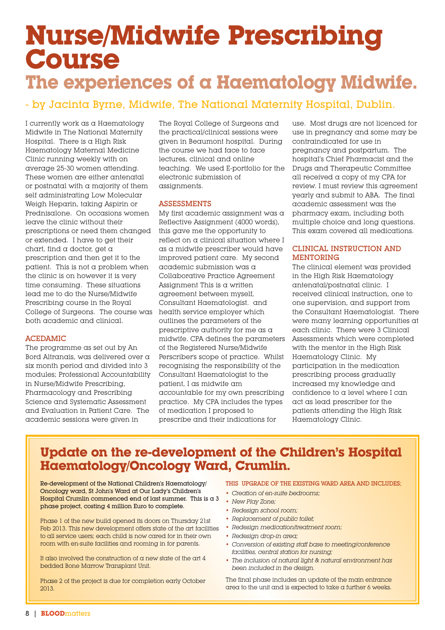## **Nurse/Midwife Prescribing Course The experiences of a Haematology Midwife.**

### - by Jacinta Byrne, Midwife, The National Maternity Hospital, Dublin.

I currently work as a Haematology Midwife in The National Maternity Hospital. There is a High Risk Haematology Maternal Medicine Clinic running weekly with on average 25-30 women attending. These women are either antenatal or postnatal with a majority of them self administrating Low Molecular Weigh Heparin, taking Aspirin or Prednisalone. On occasions women leave the clinic without their prescriptions or need them changed or extended. I have to get their chart, find a doctor, get a prescription and then get it to the patient. This is not a problem when the clinic is on however it is very time consuming. These situations lead me to do the Nurse/Midwife Prescribing course in the Royal College of Surgeons. The course was both academic and clinical.

### ACEDAMIC

The programme as set out by An Bord Altranais, was delivered over a six month period and divided into 3 modules; Professional Accountability in Nurse/Midwife Prescribing, Pharmacology and Prescribing Science and Systematic Assessment and Evaluation in Patient Care. The academic sessions were given in

The Royal College of Surgeons and the practical/clinical sessions were given in Beaumont hospital. During the course we had face to face lectures, clinical and online teaching. We used E-portfolio for the electronic submission of assignments.

### ASSESSMENTS

My first academic assignment was a Reflective Assignment (4000 words), this gave me the opportunity to reflect on a clinical situation where I as a midwife prescriber would have improved patient care. My second academic submission was a Collaborative Practice Agreement Assignment This is a written agreement between myself, Consultant Haematologist. and health service employer which outlines the parameters of the prescriptive authority for me as a midwife. CPA defines the parameters of the Registered Nurse/Midwife Perscriber's scope of practice. Whilst recognising the responsibility of the Consultant Haematologist to the patient, I as midwife am accountable for my own prescribing practice. My CPA includes the types of medication I proposed to prescribe and their indications for

use. Most drugs are not licenced for use in pregnancy and some may be contraindicated for use in pregnancy and postpartum. The hospital's Chief Pharmacist and the Drugs and Therapeutic Committee all received a copy of my CPA for review. I must review this agreement yearly and submit to ABA. The final academic assessment was the pharmacy exam, including both multiple choice and long questions. This exam covered all medications.

### CLINICAL INSTRUCTION AND MENTORING

The clinical element was provided in the High Risk Haematology antenatal/postnatal clinic. I received clinical instruction, one to one supervision, and support from the Consultant Haematologist. There were many learning opportunities at each clinic. There were 3 Clinical Assessments which were completed with the mentor in the High Risk Haematology Clinic. My participation in the medication prescribing process gradually increased my knowledge and confidence to a level where I can act as lead prescriber for the patients attending the High Risk Haematology Clinic.

### **Update on the re-development of the Children's Hospital Haematology/Oncology Ward, Crumlin.**

Re-development of the National Children's Haematology/ Oncology ward, St John's Ward at Our Lady's Children's Hospital Crumlin commenced end of last summer. This is  $\alpha$  3 phase project, costing 4 million Euro to complete.

Phase 1 of the new build opened its doors on Thursday 21st Feb 2013. This new development offers state of the art facilities to all service users; each child is now cared for in their own room with en-suite facilities and rooming in for parents.

It also involved the construction of  $\alpha$  new state of the art 4 bedded Bone Marrow Transplant Unit.

Phase 2 of the project is due for completion early October 2013.

### THIS UPGRADE OF THE EXISTING WARD AREA AND INCLUDES;

- *• Creation of en-suite bedrooms;*
- *• New Play Zone;*
- *• Redesign school room;*
- *• Replacement of public toilet;*
- *• Redesign medication/treatment room;*
- *• Redesign drop-in area;*
- *• Conversion of existing staff base to meeting/conference facilities, central station for nursing;*
- *• The inclusion of natural light & natural environment has been included in the design.*

The final phase includes an update of the main entrance area to the unit and is expected to take a further 6 weeks.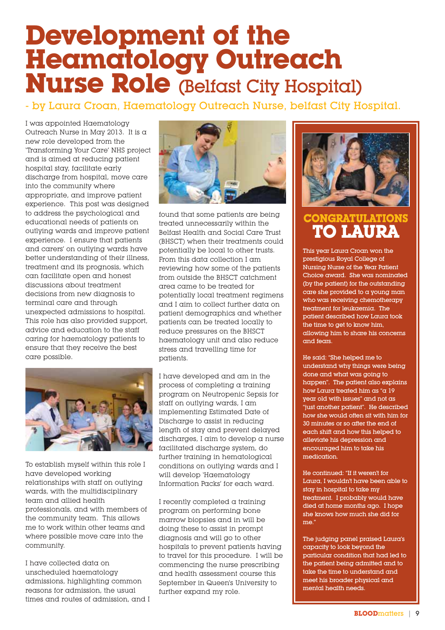# **Development of the Heamatology Outreach Nurse Role** (Belfast City Hospital)

### - by Laura Croan, Haematology Outreach Nurse, belfast City Hospital.

I was appointed Haematology Outreach Nurse in May 2013. It is a new role developed from the 'Transforming Your Care' NHS project and is aimed at reducing patient hospital stay, facilitate early discharge from hospital, move care into the community where appropriate, and improve patient experience. This post was designed to address the psychological and educational needs of patients on outlying wards and improve patient experience. I ensure that patients and carers' on outlying wards have better understanding of their illness, treatment and its prognosis, which can facilitate open and honest discussions about treatment decisions from new diagnosis to terminal care and through unexpected admissions to hospital. This role has also provided support, advice and education to the staff caring for haematology patients to ensure that they receive the best care possible.



To establish myself within this role I have developed working relationships with staff on outlying wards, with the multidisciplinary team and allied health professionals, and with members of the community team. This allows me to work within other teams and where possible move care into the community.

I have collected data on unscheduled haematology admissions, highlighting common reasons for admission, the usual times and routes of admission, and I



found that some patients are being treated unnecessarily within the Belfast Health and Social Care Trust (BHSCT) when their treatments could potentially be local to other trusts. From this data collection I am reviewing how some of the patients from outside the BHSCT catchment area came to be treated for potentially local treatment regimens and I aim to collect further data on patient demographics and whether patients can be treated locally to reduce pressures on the BHSCT haematology unit and also reduce stress and travelling time for patients.

I have developed and am in the process of completing a training program on Neutropenic Sepsis for staff on outlying wards, I am implementing Estimated Date of Discharge to assist in reducing length of stay and prevent delayed discharges, I aim to develop a nurse facilitated discharge system, do further training in hematological conditions on outlying wards and I will develop 'Haematology Information Packs' for each ward.

I recently completed a training program on performing bone marrow biopsies and in will be doing these to assist in prompt diagnosis and will go to other hospitals to prevent patients having to travel for this procedure. I will be commencing the nurse prescribing and health assessment course this September in Queen's University to further expand my role.



### **CONGRATULATIONS TO LAURA**

This year Laura Croan won the prestigious Royal College of Nursing Nurse of the Year Patient Choice award. She was nominated (by the patient) for the outstanding care she provided to a young man who was receiving chemotherapy treatment for leukaemia. The patient described how Laura took the time to get to know him, allowing him to share his concerns and fears.

He said: "She helped me to understand why things were being done and what was going to happen". The patient also explains how Laura treated him as "a 19 year old with issues" and not as "just another patient". He described how she would often sit with him for 30 minutes or so after the end of each shift and how this helped to alleviate his depression and encouraged him to take his medication.

He continued: "If it weren't for Laura, I wouldn't have been able to stay in hospital to take my treatment. I probably would have died at home months ago. I hope she knows how much she did for me."

The judging panel praised Laura's capacity to look beyond the particular condition that had led to the patient being admitted and to take the time to understand and meet his broader physical and mental health needs.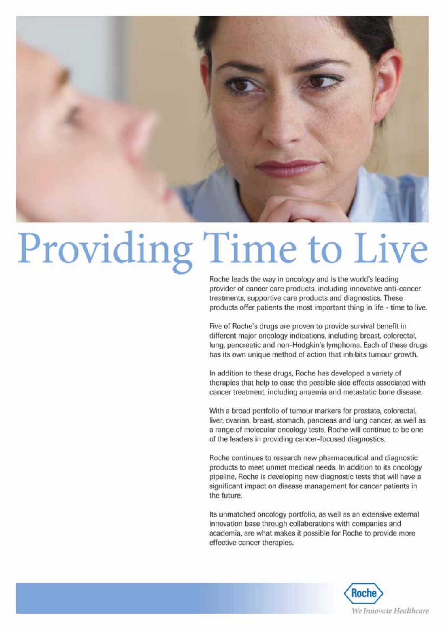

# Providing Time to Live

Roche leads the way in oncology and is the world's leading provider of cancer care products, including innovative anti-cancer treatments, supportive care products and diagnostics. These products offer patients the most important thing in life - time to live.

Five of Roche's drugs are proven to provide survival benefit in different major oncology indications, including breast, colorectal, lung, pancreatic and non-Hodgkin's lymphoma. Each of these drugs has its own unique method of action that inhibits tumour growth.

In addition to these drugs, Roche has developed a variety of therapies that help to ease the possible side effects associated with cancer treatment, including anaemia and metastatic bone disease.

With a broad portfolio of tumour markers for prostate, colorectal, liver, ovarian, breast, stomach, pancreas and lung cancer, as well as a range of molecular oncology tests, Roche will continue to be one of the leaders in providing cancer-focused diagnostics.

Roche continues to research new pharmaceutical and diagnostic products to meet unmet medical needs. In addition to its oncology pipeline, Roche is developing new diagnostic tests that will have a significant impact on disease management for cancer patients in the future.

Its unmatched oncology portfolio, as well as an extensive external innovation base through collaborations with companies and academia, are what makes it possible for Roche to provide more effective cancer therapies.

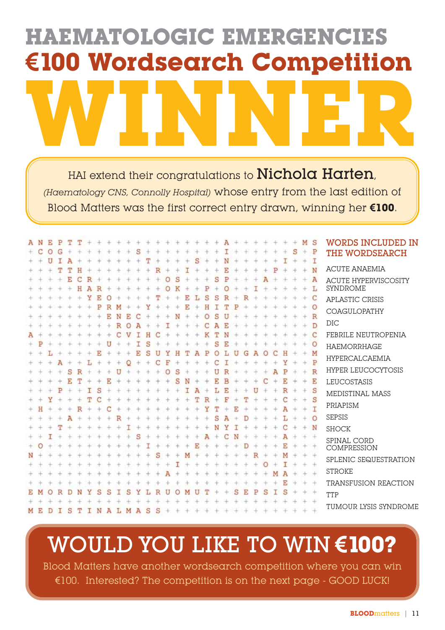# **HAEMATOLOGIC EMERGENCIES €100 Wordsearch Competition WINNER**

HAI extend their congratulations to Nichola Harten, *(Haematology CNS, Connolly Hospital)* whose entry from the last edition of Blood Matters was the first correct entry drawn, winning her **€100**.

|   | N | р |  |   |  |  |  |  |  |  |  |  |  |  | S       | <b>WORDS INCLUDED IN</b>                       |
|---|---|---|--|---|--|--|--|--|--|--|--|--|--|--|---------|------------------------------------------------|
|   |   |   |  |   |  |  |  |  |  |  |  |  |  |  | P       | THE WORDSEARCH                                 |
|   |   |   |  |   |  |  |  |  |  |  |  |  |  |  | N       | <b>ACUTE ANAEMIA</b>                           |
|   |   |   |  |   |  |  |  |  |  |  |  |  |  |  | А       | <b>ACUTE HYPERVISCOSITY</b><br><b>SYNDROME</b> |
|   |   |   |  |   |  |  |  |  |  |  |  |  |  |  | C       |                                                |
|   |   |   |  |   |  |  |  |  |  |  |  |  |  |  | $\circ$ | APLASTIC CRISIS                                |
|   |   |   |  |   |  |  |  |  |  |  |  |  |  |  | R       | <b>COAGULOPATHY</b>                            |
|   |   |   |  |   |  |  |  |  |  |  |  |  |  |  | Ð       | DIC                                            |
|   |   |   |  |   |  |  |  |  |  |  |  |  |  |  | C       | FEBRILE NEUTROPENIA                            |
|   |   |   |  |   |  |  |  |  |  |  |  |  |  |  | $\circ$ | <b>HAEMORRHAGE</b>                             |
|   |   |   |  |   |  |  |  |  |  |  |  |  |  |  | M       | HYPERCALCAEMIA                                 |
|   |   |   |  |   |  |  |  |  |  |  |  |  |  |  | P       |                                                |
|   |   |   |  |   |  |  |  |  |  |  |  |  |  |  | R       | HYPER LEUCOCYTOSIS                             |
|   |   |   |  |   |  |  |  |  |  |  |  |  |  |  | E       | LEUCOSTASIS                                    |
|   |   |   |  |   |  |  |  |  |  |  |  |  |  |  | S       | MEDISTINAL MASS                                |
|   |   |   |  |   |  |  |  |  |  |  |  |  |  |  | S       | PRIAPISM                                       |
|   |   |   |  |   |  |  |  |  |  |  |  |  |  |  |         | <b>SEPSIS</b>                                  |
|   |   |   |  |   |  |  |  |  |  |  |  |  |  |  | N       |                                                |
|   |   |   |  |   |  |  |  |  |  |  |  |  |  |  |         | <b>SHOCK</b>                                   |
|   |   |   |  |   |  |  |  |  |  |  |  |  |  |  |         | SPINAL CORD<br>COMPRESSION                     |
|   |   |   |  |   |  |  |  |  |  |  |  |  |  |  |         |                                                |
|   |   |   |  |   |  |  |  |  |  |  |  |  |  |  |         | SPLENIC SEQUESTRATION                          |
|   |   |   |  |   |  |  |  |  |  |  |  |  |  |  |         | <b>STROKE</b>                                  |
|   |   |   |  |   |  |  |  |  |  |  |  |  |  |  |         | TRANSFUSION REACTION                           |
|   |   |   |  |   |  |  |  |  |  |  |  |  |  |  |         | TTP                                            |
|   |   |   |  |   |  |  |  |  |  |  |  |  |  |  |         |                                                |
| M |   |   |  | N |  |  |  |  |  |  |  |  |  |  |         | TUMOUR LYSIS SYNDROME                          |

## WOULD YOU LIKE TO WIN **€100?**

Blood Matters have another wordsearch competition where you can win €100. Interested? The competition is on the next page - GOOD LUCK!